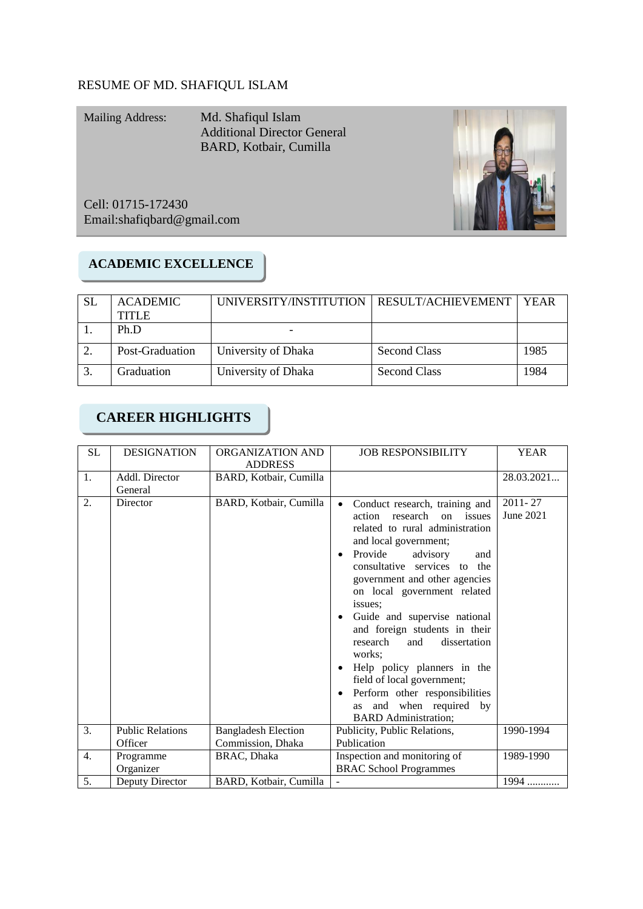## RESUME OF MD. SHAFIQUL ISLAM

Mailing Address: Md. Shafiqul Islam Additional Director General BARD, Kotbair, Cumilla

Cell: 01715-172430 Email[:shafiqbard@gmail.com](mailto:shafiqbard@gmail.com)

## **ACADEMIC EXCELLENCE**

| -SL | <b>ACADEMIC</b> | UNIVERSITY/INSTITUTION   RESULT/ACHIEVEMENT |                     | <b>YEAR</b> |
|-----|-----------------|---------------------------------------------|---------------------|-------------|
|     | <b>TITLE</b>    |                                             |                     |             |
|     | Ph.D            |                                             |                     |             |
|     | Post-Graduation | University of Dhaka                         | Second Class        | 1985        |
| 3   | Graduation      | University of Dhaka                         | <b>Second Class</b> | 1984        |

# **CAREER HIGHLIGHTS**

| SL | <b>DESIGNATION</b>                 | ORGANIZATION AND<br><b>ADDRESS</b>              | <b>JOB RESPONSIBILITY</b>                                                                                                                                                                                                                                                                                                                                                                                                                                                                                                                                         | <b>YEAR</b>              |
|----|------------------------------------|-------------------------------------------------|-------------------------------------------------------------------------------------------------------------------------------------------------------------------------------------------------------------------------------------------------------------------------------------------------------------------------------------------------------------------------------------------------------------------------------------------------------------------------------------------------------------------------------------------------------------------|--------------------------|
| 1. | Addl. Director<br>General          | BARD, Kotbair, Cumilla                          |                                                                                                                                                                                                                                                                                                                                                                                                                                                                                                                                                                   | 28.03.2021               |
| 2. | Director                           | BARD, Kotbair, Cumilla                          | Conduct research, training and<br>$\bullet$<br>research on issues<br>action<br>related to rural administration<br>and local government;<br>Provide<br>advisory<br>and<br>consultative services to the<br>government and other agencies<br>on local government related<br>issues:<br>Guide and supervise national<br>and foreign students in their<br>research<br>and<br>dissertation<br>works:<br>Help policy planners in the<br>field of local government;<br>Perform other responsibilities<br>and when required by<br><b>as</b><br><b>BARD</b> Administration; | $2011 - 27$<br>June 2021 |
| 3. | <b>Public Relations</b><br>Officer | <b>Bangladesh Election</b><br>Commission, Dhaka | Publicity, Public Relations,<br>Publication                                                                                                                                                                                                                                                                                                                                                                                                                                                                                                                       | 1990-1994                |
| 4. | Programme<br>Organizer             | BRAC, Dhaka                                     | Inspection and monitoring of<br>1989-1990<br><b>BRAC School Programmes</b>                                                                                                                                                                                                                                                                                                                                                                                                                                                                                        |                          |
| 5. | Deputy Director                    | BARD, Kotbair, Cumilla                          |                                                                                                                                                                                                                                                                                                                                                                                                                                                                                                                                                                   | 1994                     |

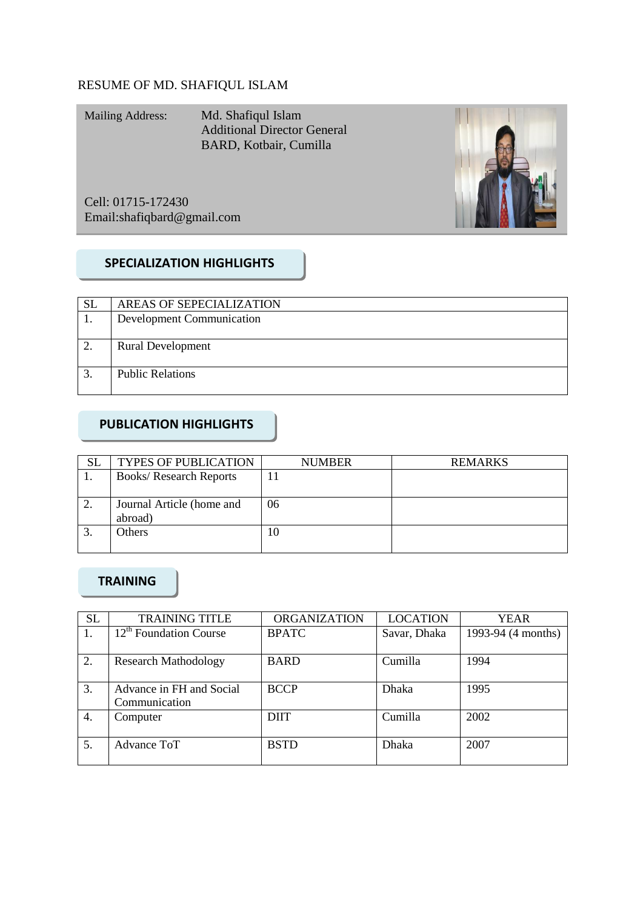## RESUME OF MD. SHAFIQUL ISLAM

Mailing Address: Md. Shafiqul Islam Additional Director General BARD, Kotbair, Cumilla

Cell: 01715-172430 Email[:shafiqbard@gmail.com](mailto:shafiqbard@gmail.com)



## **SPECIALIZATION HIGHLIGHTS**

| <b>SL</b>        | AREAS OF SEPECIALIZATION         |  |
|------------------|----------------------------------|--|
|                  | <b>Development Communication</b> |  |
|                  |                                  |  |
| 2.               | <b>Rural Development</b>         |  |
|                  |                                  |  |
| $\mathfrak{Z}$ . | <b>Public Relations</b>          |  |
|                  |                                  |  |

## **PUBLICATION HIGHLIGHTS**

| <b>SL</b> | <b>TYPES OF PUBLICATION</b>          | <b>NUMBER</b> | <b>REMARKS</b> |
|-----------|--------------------------------------|---------------|----------------|
|           | <b>Books/ Research Reports</b>       |               |                |
| ∍         | Journal Article (home and<br>abroad) | 06            |                |
|           | Others                               | 10            |                |

## **TRAINING**

| <b>SL</b> | <b>TRAINING TITLE</b>              | <b>ORGANIZATION</b> | <b>LOCATION</b> | YEAR               |
|-----------|------------------------------------|---------------------|-----------------|--------------------|
| Ι.        | 12 <sup>th</sup> Foundation Course | <b>BPATC</b>        | Savar, Dhaka    | 1993-94 (4 months) |
|           |                                    |                     |                 |                    |
| 2.        | <b>Research Mathodology</b>        | <b>BARD</b>         | Cumilla         | 1994               |
|           |                                    |                     |                 |                    |
| 3.        | Advance in FH and Social           | <b>BCCP</b>         | <b>Dhaka</b>    | 1995               |
|           | Communication                      |                     |                 |                    |
| 4.        | Computer                           | <b>DIIT</b>         | Cumilla         | 2002               |
|           |                                    |                     |                 |                    |
| 5.        | Advance ToT                        | <b>BSTD</b>         | <b>Dhaka</b>    | 2007               |
|           |                                    |                     |                 |                    |